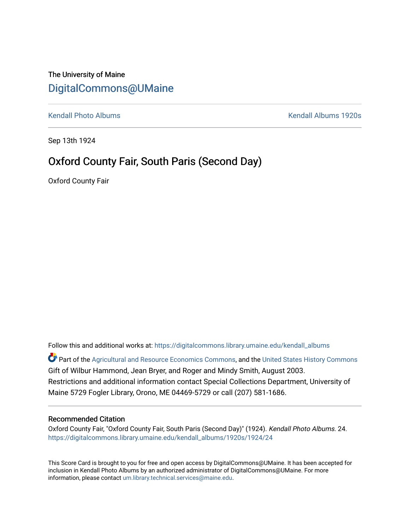## The University of Maine [DigitalCommons@UMaine](https://digitalcommons.library.umaine.edu/)

[Kendall Photo Albums](https://digitalcommons.library.umaine.edu/kendall_albums) [Kendall Albums 1920s](https://digitalcommons.library.umaine.edu/kendall_albums/1920s) 

Sep 13th 1924

## Oxford County Fair, South Paris (Second Day)

Oxford County Fair

Follow this and additional works at: [https://digitalcommons.library.umaine.edu/kendall\\_albums](https://digitalcommons.library.umaine.edu/kendall_albums?utm_source=digitalcommons.library.umaine.edu%2Fkendall_albums%2F1920s%2F1924%2F24&utm_medium=PDF&utm_campaign=PDFCoverPages)  Part of the [Agricultural and Resource Economics Commons,](http://network.bepress.com/hgg/discipline/317?utm_source=digitalcommons.library.umaine.edu%2Fkendall_albums%2F1920s%2F1924%2F24&utm_medium=PDF&utm_campaign=PDFCoverPages) and the [United States History Commons](http://network.bepress.com/hgg/discipline/495?utm_source=digitalcommons.library.umaine.edu%2Fkendall_albums%2F1920s%2F1924%2F24&utm_medium=PDF&utm_campaign=PDFCoverPages) Gift of Wilbur Hammond, Jean Bryer, and Roger and Mindy Smith, August 2003. Restrictions and additional information contact Special Collections Department, University of Maine 5729 Fogler Library, Orono, ME 04469-5729 or call (207) 581-1686.

## Recommended Citation

Oxford County Fair, "Oxford County Fair, South Paris (Second Day)" (1924). Kendall Photo Albums. 24. [https://digitalcommons.library.umaine.edu/kendall\\_albums/1920s/1924/24](https://digitalcommons.library.umaine.edu/kendall_albums/1920s/1924/24?utm_source=digitalcommons.library.umaine.edu%2Fkendall_albums%2F1920s%2F1924%2F24&utm_medium=PDF&utm_campaign=PDFCoverPages)

This Score Card is brought to you for free and open access by DigitalCommons@UMaine. It has been accepted for inclusion in Kendall Photo Albums by an authorized administrator of DigitalCommons@UMaine. For more information, please contact [um.library.technical.services@maine.edu](mailto:um.library.technical.services@maine.edu).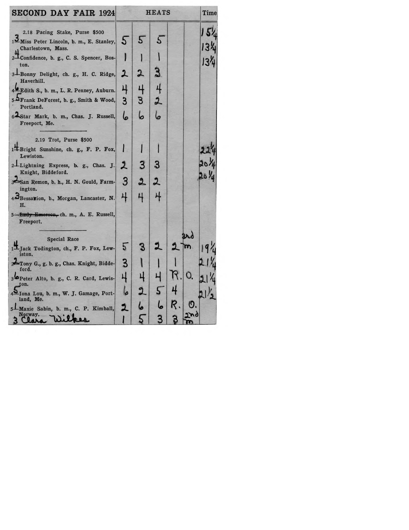| <b>SECOND DAY FAIR 1924</b>                                                                                                                               | <b>HEATS</b>   |                         |   | Time     |       |
|-----------------------------------------------------------------------------------------------------------------------------------------------------------|----------------|-------------------------|---|----------|-------|
| 2.18 Pacing Stake, Purse \$500<br>1 <sup>1</sup> Miss Peter Lincoln, b. m., E. Stanley,<br>Charlestown, Mass.<br>2-Confidence, b. g., C. S. Spencer, Bos- | 5              | 5                       | 5 |          |       |
| ton.<br>3-Bonny Delight, ch. g., H. C. Ridge,<br>Haverhill.                                                                                               | $\mathbf{z}$   |                         |   |          |       |
| 4 <sup>6</sup> Edith S., b. m., L. R. Penney, Auburn.<br>5-PFrank DeForest, b. g., Smith & Wood,<br>Portland.                                             | 4<br>3         | З                       |   |          |       |
| 6 <sup>2</sup> Star Mark, b. m., Chas. J. Russell,<br>Freeport, Me.                                                                                       |                | 6                       | o |          |       |
| 2.19 Trot, Purse \$500<br>1 <sup>1</sup> Eright Sunshine, ch. g., F. P. Fox,<br>Lewiston.                                                                 |                |                         |   |          |       |
| 2-Lightning Express, b. g., Chas. J.<br>Knight, Biddeford.                                                                                                | 2.             | 3                       | 3 |          | LO 7. |
| 3 San Remon, b. h., H. N. Gould, Farm-<br>ington.<br>4 <sup>5</sup> Bessamion, b., Morgan, Lancaster, N.                                                  | 3<br>4         | $\overline{\mathbf{2}}$ |   |          |       |
| Н.<br>5— <del>Lady Emerson,</del> ch. m., A. E. Russell,<br>Freeport.                                                                                     |                |                         |   |          |       |
| <b>Special Race</b><br>1-I Jack Todington, ch., F. P. Fox, Lew-                                                                                           | $\overline{5}$ | 3                       |   |          |       |
| iston.<br>Tony G., g. b. g., Chas. Knight, Bidde-<br>ford.                                                                                                | 3              |                         |   |          |       |
| 3 <sup>4</sup> Peter Alto, b. g., C. R. Card, Lewis-                                                                                                      | 4<br>6         |                         |   | O.       |       |
| -Iona Lou, b. m., W. J. Gamage, Port-<br>land, Me.<br>5-Maxie Sabin, b. m., C. P. Kimball,                                                                | 2              |                         |   | R.<br>O. |       |
| Norway.<br>Clara Wilker                                                                                                                                   |                |                         |   |          |       |